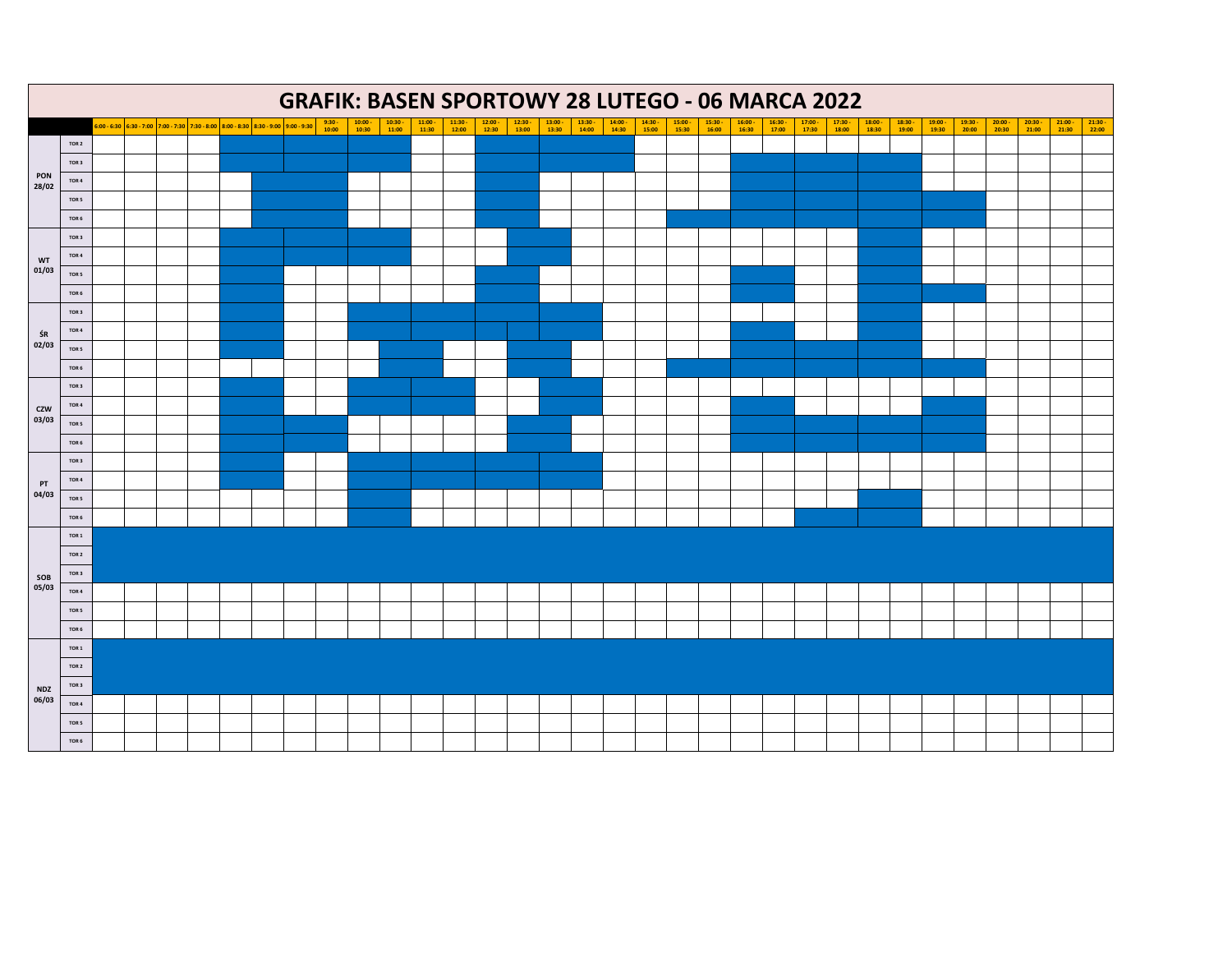